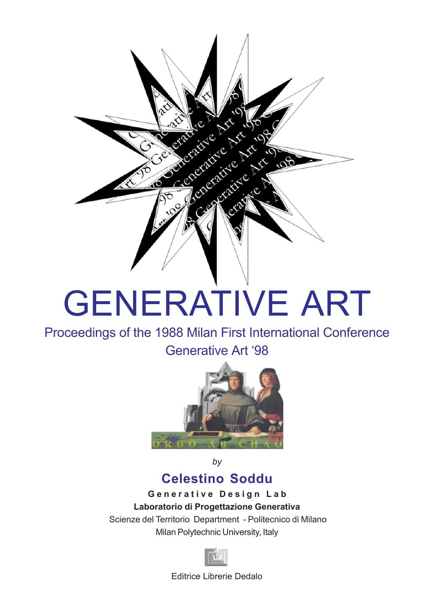

## GENERATIVE ART

Proceedings of the 1988 Milan First International Conference Generative Art '98



*by*

## **Celestino Soddu**

**G e n e r a t i v e D e s i g n L a b Laboratorio di Progettazione Generativa** Scienze del Territorio Department - Politecnico di Milano Milan Polytechnic University, Italy



Editrice Librerie Dedalo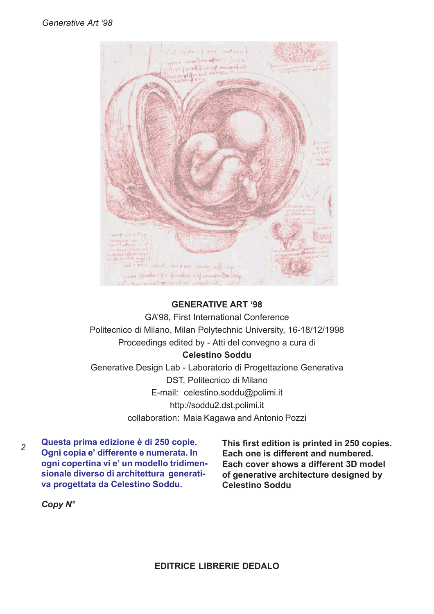

## **GENERATIVE ART '98**

GA'98, First International Conference Politecnico di Milano, Milan Polytechnic University, 16-18/12/1998 Proceedings edited by - Atti del convegno a cura di **Celestino Soddu** Generative Design Lab - Laboratorio di Progettazione Generativa DST, Politecnico di Milano E-mail: celestino.soddu@polimi.it http://soddu2.dst.polimi.it collaboration: Maia Kagawa and Antonio Pozzi

*2* **Questa prima edizione è di 250 copie. Ogni copia e' differente e numerata. In ogni copertina vi e' un modello tridimensionale diverso di architettura generativa progettata da Celestino Soddu.**

**This first edition is printed in 250 copies. Each one is different and numbered. Each cover shows a different 3D model of generative architecture designed by Celestino Soddu**

*Copy N°*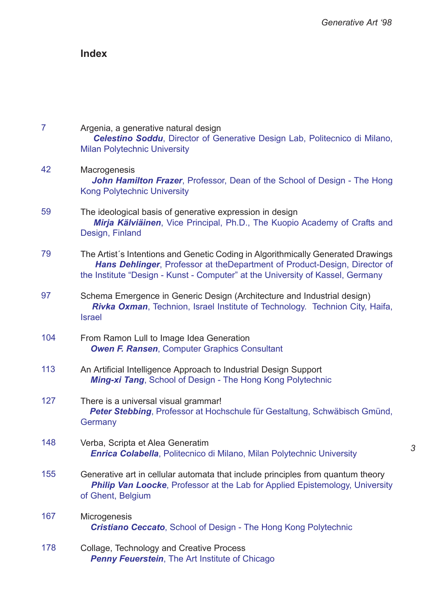*3*

## **Index**

| $\overline{7}$ | Argenia, a generative natural design<br>Celestino Soddu, Director of Generative Design Lab, Politecnico di Milano,<br><b>Milan Polytechnic University</b>                                                                                        |
|----------------|--------------------------------------------------------------------------------------------------------------------------------------------------------------------------------------------------------------------------------------------------|
| 42             | Macrogenesis<br>John Hamilton Frazer, Professor, Dean of the School of Design - The Hong<br><b>Kong Polytechnic University</b>                                                                                                                   |
| 59             | The ideological basis of generative expression in design<br>Mirja Kälviäinen, Vice Principal, Ph.D., The Kuopio Academy of Crafts and<br>Design, Finland                                                                                         |
| 79             | The Artist's Intentions and Genetic Coding in Algorithmically Generated Drawings<br>Hans Dehlinger, Professor at the Department of Product-Design, Director of<br>the Institute "Design - Kunst - Computer" at the University of Kassel, Germany |
| 97             | Schema Emergence in Generic Design (Architecture and Industrial design)<br>Rivka Oxman, Technion, Israel Institute of Technology. Technion City, Haifa,<br><b>Israel</b>                                                                         |
| 104            | From Ramon Lull to Image Idea Generation<br><b>Owen F. Ransen, Computer Graphics Consultant</b>                                                                                                                                                  |
| 113            | An Artificial Intelligence Approach to Industrial Design Support<br>Ming-xi Tang, School of Design - The Hong Kong Polytechnic                                                                                                                   |
| 127            | There is a universal visual grammar!<br>Peter Stebbing, Professor at Hochschule für Gestaltung, Schwäbisch Gmünd,<br>Germany                                                                                                                     |
| 148            | Verba, Scripta et Alea Generatim<br><b>Enrica Colabella, Politecnico di Milano, Milan Polytechnic University</b>                                                                                                                                 |
| 155            | Generative art in cellular automata that include principles from quantum theory<br>Philip Van Loocke, Professor at the Lab for Applied Epistemology, University<br>of Ghent, Belgium                                                             |
| 167            | Microgenesis<br><b>Cristiano Ceccato, School of Design - The Hong Kong Polytechnic</b>                                                                                                                                                           |
| 178            | Collage, Technology and Creative Process<br>Penny Feuerstein, The Art Institute of Chicago                                                                                                                                                       |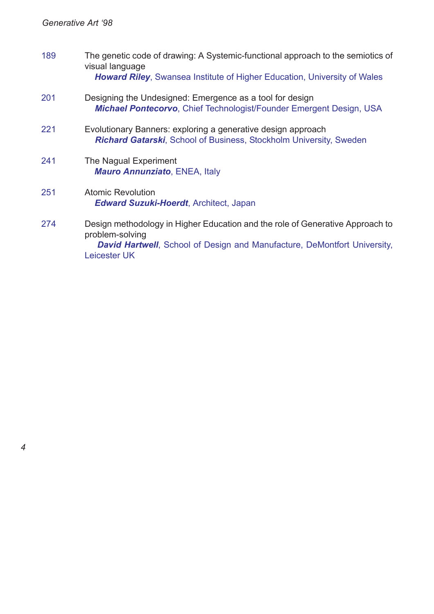| 189 | The genetic code of drawing: A Systemic-functional approach to the semiotics of<br>visual language<br><b>Howard Riley, Swansea Institute of Higher Education, University of Wales</b>                |
|-----|------------------------------------------------------------------------------------------------------------------------------------------------------------------------------------------------------|
| 201 | Designing the Undesigned: Emergence as a tool for design<br><b>Michael Pontecorvo, Chief Technologist/Founder Emergent Design, USA</b>                                                               |
| 221 | Evolutionary Banners: exploring a generative design approach<br>Richard Gatarski, School of Business, Stockholm University, Sweden                                                                   |
| 241 | The Nagual Experiment<br><b>Mauro Annunziato, ENEA, Italy</b>                                                                                                                                        |
| 251 | <b>Atomic Revolution</b><br><b>Edward Suzuki-Hoerdt, Architect, Japan</b>                                                                                                                            |
| 274 | Design methodology in Higher Education and the role of Generative Approach to<br>problem-solving<br><b>David Hartwell</b> , School of Design and Manufacture, DeMontfort University,<br>Leicester UK |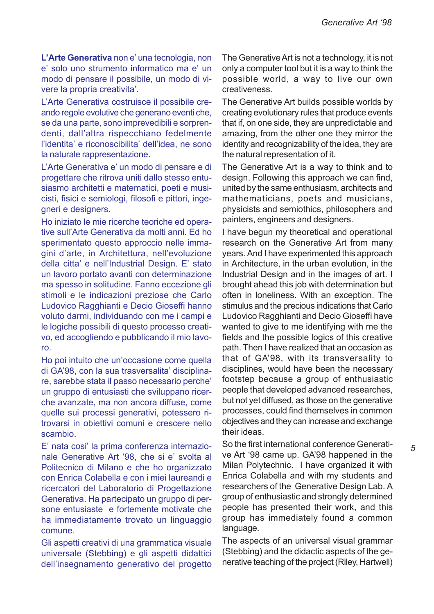**L'Arte Generativa** non e' una tecnologia, non e' solo uno strumento informatico ma e' un modo di pensare il possibile, un modo di vivere la propria creativita'.

L'Arte Generativa costruisce il possibile creando regole evolutive che generano eventi che, se da una parte, sono imprevedibili e sorprendenti, dall'altra rispecchiano fedelmente l'identita' e riconoscibilita' dell'idea, ne sono la naturale rappresentazione.

L'Arte Generativa e' un modo di pensare e di progettare che ritrova uniti dallo stesso entusiasmo architetti e matematici, poeti e musicisti, fisici e semiologi, filosofi e pittori, ingegneri e designers.

Ho iniziato le mie ricerche teoriche ed operative sull'Arte Generativa da molti anni. Ed ho sperimentato questo approccio nelle immagini d'arte, in Architettura, nell'evoluzione della citta' e nell'Industrial Design. E' stato un lavoro portato avanti con determinazione ma spesso in solitudine. Fanno eccezione gli stimoli e le indicazioni preziose che Carlo Ludovico Ragghianti e Decio Gioseffi hanno voluto darmi, individuando con me i campi e le logiche possibili di questo processo creativo, ed accogliendo e pubblicando il mio lavoro.

Ho poi intuito che un'occasione come quella di GA'98, con la sua trasversalita' disciplinare, sarebbe stata il passo necessario perche' un gruppo di entusiasti che sviluppano ricerche avanzate, ma non ancora diffuse, come quelle sui processi generativi, potessero ritrovarsi in obiettivi comuni e crescere nello scambio.

E' nata cosi' la prima conferenza internazionale Generative Art '98, che si e' svolta al Politecnico di Milano e che ho organizzato con Enrica Colabella e con i miei laureandi e ricercatori del Laboratorio di Progettazione Generativa. Ha partecipato un gruppo di persone entusiaste e fortemente motivate che ha immediatamente trovato un linguaggio comune.

Gli aspetti creativi di una grammatica visuale universale (Stebbing) e gli aspetti didattici dell'insegnamento generativo del progetto

The Generative Art is not a technology, it is not only a computer tool but it is a way to think the possible world, a way to live our own creativeness.

The Generative Art builds possible worlds by creating evolutionary rules that produce events that if, on one side, they are unpredictable and amazing, from the other one they mirror the identity and recognizability of the idea, they are the natural representation of it.

The Generative Art is a way to think and to design. Following this approach we can find, united by the same enthusiasm, architects and mathematicians, poets and musicians, physicists and semiothics, philosophers and painters, engineers and designers.

I have begun my theoretical and operational research on the Generative Art from many years. And I have experimented this approach in Architecture, in the urban evolution, in the Industrial Design and in the images of art. I brought ahead this job with determination but often in loneliness. With an exception. The stimulus and the precious indications that Carlo Ludovico Ragghianti and Decio Gioseffi have wanted to give to me identifying with me the fields and the possible logics of this creative path. Then I have realized that an occasion as that of GA'98, with its transversality to disciplines, would have been the necessary footstep because a group of enthusiastic people that developed advanced researches, but not yet diffused, as those on the generative processes, could find themselves in common objectives and they can increase and exchange their ideas.

So the first international conference Generative Art '98 came up. GA'98 happened in the Milan Polytechnic. I have organized it with Enrica Colabella and with my students and researchers of the Generative Design Lab. A group of enthusiastic and strongly determined people has presented their work, and this group has immediately found a common language.

The aspects of an universal visual grammar (Stebbing) and the didactic aspects of the generative teaching of the project (Riley, Hartwell)